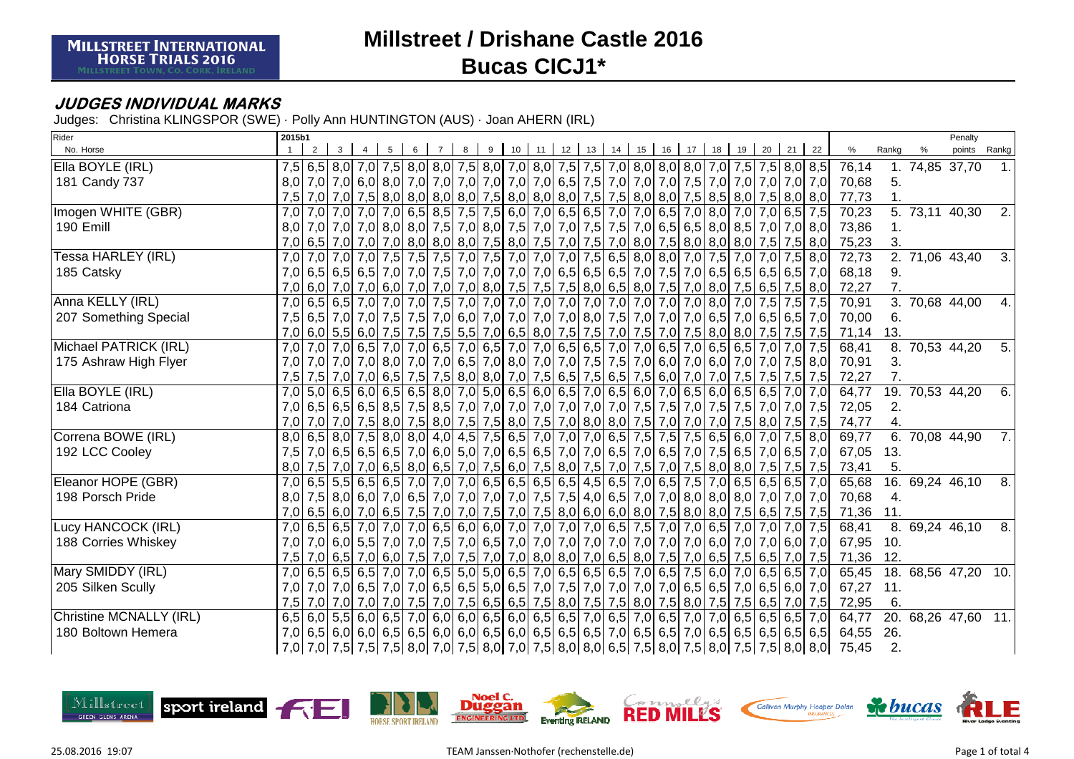### **JUDGES INDIVIDUAL MARKS**

Judges: Christina KLINGSPOR (SWE) · Polly Ann HUNTINGTON (AUS) · Joan AHERN (IRL)

| Rider                          | 2015b1           |                |     |   |   |   |   |                      |  |  |  |                   |  |                                                                                                                                                                                                                                |                                                                                                                |                  |                     | Penalty      |                |
|--------------------------------|------------------|----------------|-----|---|---|---|---|----------------------|--|--|--|-------------------|--|--------------------------------------------------------------------------------------------------------------------------------------------------------------------------------------------------------------------------------|----------------------------------------------------------------------------------------------------------------|------------------|---------------------|--------------|----------------|
| No. Horse                      |                  | 2 <sup>1</sup> | 3 I | 5 | 6 | 8 | 9 | 10 11 12 13 14 15 16 |  |  |  | 17 18 19 20 21 22 |  |                                                                                                                                                                                                                                | %                                                                                                              | Ranka            |                     | points Rankg |                |
| Ella BOYLE (IRL)               |                  |                |     |   |   |   |   |                      |  |  |  |                   |  | 7,5 6,5 8,0 7,0 7,5 8,0 8,0 7,5 8,0 7,5 8,0 7,0 8,0 7,5 7,5 7,0 8,0 8,0 8,0 7,0 7,5 7,5 8,0 8,5                                                                                                                                | 76,14                                                                                                          |                  | 74,85 37,70         |              |                |
| 181 Candy 737                  | 8,0              |                |     |   |   |   |   |                      |  |  |  |                   |  | 7,0 7,0 8,0 7,0 7,0 7,0 7,0 7,0 7,0 7,0 7,0 6,5 7,5 7,0 7,0 7,0 7,0 7,5 7,0 7,0 7,0 7,0 7,0 7,0 7,0                                                                                                                            | 70,68                                                                                                          | 5.               |                     |              |                |
|                                | 7,5              |                |     |   |   |   |   |                      |  |  |  |                   |  | 7,0 7,0 7,5 8,0 8,0 8,0 8,0 7,5 8,0 7,5 8,0 8,0 7,5 7,5 8,0 8,0 7,5 8,0 7,5 8,0 7,5 8,0 8,0                                                                                                                                    | 77,73                                                                                                          |                  |                     |              |                |
| Imogen WHITE (GBR)             | 7.0              |                |     |   |   |   |   |                      |  |  |  |                   |  | 7,0 7,0 7,0 7,0 6,5 7,5 7,5 7,6 6,0 7,0 6,5 6,6 7,0 7,0 6,5 7,0 8,0 7,0 7,0 6,5 7,5                                                                                                                                            | 70,23                                                                                                          |                  | 5. 73,11 40,30      |              | 2.             |
| 190 Emill                      |                  |                |     |   |   |   |   |                      |  |  |  |                   |  | 8,0 7,0 7,0 7,0 8,0 8,0 7,5 7,0 8,0 7,5 7,0 7,5 7,0 7,5 7,0 6,5 6,5 8,0 8,5 7,0 7,0 7,0 8,0                                                                                                                                    | 73,86                                                                                                          |                  |                     |              |                |
|                                |                  |                |     |   |   |   |   |                      |  |  |  |                   |  | 7,0 6,5 7,0 7,5 7,5 8,0 8,0 8,0 8,0 7,5 8,0 7,5 7,0 7,5 7,0 8,0 7,5 8,0 8,0 8,0 7,5 7,5 7,5 8,0                                                                                                                                | 75,23                                                                                                          | 3.               |                     |              |                |
| Tessa HARLEY (IRL)             | 7.0              |                |     |   |   |   |   |                      |  |  |  |                   |  | 7,0 7,0 7,0 7,5 7,5 7,5 7,0 7,5 7,0 7,0 7,0 7,0 7,0 7,5 6,5 8,0 8,0 7,0 7,5 7,0 7,0 7,5 8,0                                                                                                                                    | 72,73                                                                                                          |                  | 2. 71,06 43,40      |              | 3.             |
| 185 Catsky                     | 7,0              |                |     |   |   |   |   |                      |  |  |  |                   |  | 6,5 6,5 6,5 6,5 6,5 7,0 7,0 7,6 7,0 7,0 7,0 7,0 6,5 6,5 6,5 7,0 7,5 7,0 6,5 6,5 6,5 6,5 6,5 6,5 7,0                                                                                                                            | 68,18                                                                                                          | 9.               |                     |              |                |
|                                | 7,0              |                |     |   |   |   |   |                      |  |  |  |                   |  | 6,0 7,0 8,0 7,5 6,5 7,5 8,0 7,0 7,0 8,0 7,5 7,5 7,5 8,0 6,5 8,0 7,5 7,0 8,0 7,5 6,5 7,5 8,0                                                                                                                                    | 72,27                                                                                                          | 7.               |                     |              |                |
| Anna KELLY (IRL)               | 7.0              |                |     |   |   |   |   |                      |  |  |  |                   |  |                                                                                                                                                                                                                                | 70,91                                                                                                          | $\overline{3}$ . | 70,68 44,00         |              | 4.             |
| 207 Something Special          | 7.5              |                |     |   |   |   |   |                      |  |  |  |                   |  | 6,5   7,0   7,0   7,5   7,5   7,0   6,0   7,0   7,0   7,0   7,0   8,0   7,5   7,0   7,0   6,5   7,0   6,5   6,5   7,0                                                                                                          | 70,00                                                                                                          | 6.               |                     |              |                |
|                                |                  |                |     |   |   |   |   |                      |  |  |  |                   |  | 7,0 6,0 7,5 7,5 7,5 7,5 7,5 7,5 7,6 7,6 7,7 8,0 7,5 7,6 7,6 7,7 8,0 7,6 7,0 7,5 8,0 8,0 7,5 7,5 7,5 7,5 7,5                                                                                                                    | 71,14                                                                                                          | 13.              |                     |              |                |
| Michael PATRICK (IRL)          | 7.0              |                |     |   |   |   |   |                      |  |  |  |                   |  | 7,0 7,0 6,5 7,0 7,0 6,5 7,0 6,5 7,0 6,5 7,0 7,0 6,5 6,5 7,0 7,0 6,5 7,0 6,5 6,5 7,0 7,0 7,5                                                                                                                                    | 68,41                                                                                                          | $\overline{8}$ . |                     | 70,53 44,20  | 5 <sub>1</sub> |
| 175 Ashraw High Flyer          | 7.0              |                |     |   |   |   |   |                      |  |  |  |                   |  | 7,0 7,0 7,0 8,0 7,0 8,0 7,0 6,5 7,0 8,0 7,0 7,0 7,0 7,5 7,5 7,0 6,0 7,0 6,0 7,0 7,0 7,0 7,5 8,0                                                                                                                                | 70,91                                                                                                          | 3.               |                     |              |                |
|                                | 7,5              |                |     |   |   |   |   |                      |  |  |  |                   |  | 7,5 7,5 7,5 7,5 7,5 7,5 8,0 8,0 7,0 7,5 6,5 7,5 6,5 7,5 6,0 7,0 7,0 7,5 7,5 7,5 7,5 7,5                                                                                                                                        | 72,27                                                                                                          |                  |                     |              |                |
| Ella BOYLE (IRL)               | $\overline{7.0}$ |                |     |   |   |   |   |                      |  |  |  |                   |  | $5,0$ 6,5 6,0 6,5 6,5 8,0 7,0 5,0 6,5 6,0 6,5 7,0 6,5 6,0 7,0 6,5 6,0 6,5 6,0 6,5 6,7,0 7,0                                                                                                                                    | 64,77                                                                                                          |                  | 19. 70,53 44,20     |              | 6.             |
| 184 Catriona                   | 7.0              |                |     |   |   |   |   |                      |  |  |  |                   |  | 6,5 6,5 6,5 8,5 7,6 8,5 7,0 7,0 7,0 7,0 7,0 7,0 7,0 7,0 7,0 7,5 7,5 7,6 7,5 7,5 7,0 7,5 7,0 7,7 8                                                                                                                              | 72,05                                                                                                          | 2.               |                     |              |                |
|                                | 7,0              |                |     |   |   |   |   |                      |  |  |  |                   |  | 7,0 7,0 7,5 8,0 7,5 8,0 7,5 8,0 7,5 8,0 7,5 8,0 7,5 7,0 8,0 8,0 7,5 7,0 7,0 7,0 7,0 7,5 8,0 7,5 7,5                                                                                                                            | 74,77                                                                                                          | 4.               |                     |              |                |
| Correna BOWE (IRL)             | $\overline{8,0}$ |                |     |   |   |   |   |                      |  |  |  |                   |  | $(6,5 8,0 7,5 8,0 8,0 4,0 4,5 7,5 6,5 7,0 7,0 7,0 6,5 7,5 7,5 7,5 6,5 6,0 7,0 7,5 8,0 7,5 8,0 7,5 8,0 7,5 8,0 7,5 8,0 7,5 8,0 7,5 8,0 7,5 8,0 7,5 8,0 7,5 8,0 7,5 8,0 7,5 8,0 7,5 8,0 7,5 8,0 7,5 8,0 7,5 8,0 7,5 8,0 7,5 8,0$ | 69,77                                                                                                          |                  | $6.70,08$ 44,90     |              | <b>7.</b>      |
| 192 LCC Cooley                 | 7.5              |                |     |   |   |   |   |                      |  |  |  |                   |  | 7,0 6,5 6,5 6,5 6,5 7,0 6,0 5,0 7,0 6,5 6,5 7,0 7,0 6,5 7,0 6,5 7,0 6,5 7,0 7,5 6,5 7,0 6,5 7,0                                                                                                                                | 67,05                                                                                                          | 13.              |                     |              |                |
|                                | 8,0              |                |     |   |   |   |   |                      |  |  |  |                   |  | 7,5 7,0 7,0 6,5 8,0 6,5 7,0 7,5 6,0 7,5 8,0 7,5 7,0 7,5 7,0 7,5 8,0 8,0 7,5 7,5 7,5 7,5 7,5                                                                                                                                    | 73,41                                                                                                          | 5.               |                     |              |                |
| Eleanor HOPE (GBR)             | 7,0              |                |     |   |   |   |   |                      |  |  |  |                   |  | 6,5 5,5 6,5 6,5 7,0 7,0 7,0 6,5 6,5 6,5 6,5 6,5 4,5 6,5 7,0 6,5 7,5 7,0 6,5 6,5 6,5 6,5 7,0                                                                                                                                    | 65,68                                                                                                          |                  | 16. 69,24 46,10     |              | 8.             |
| 198 Porsch Pride               | 8,0              |                |     |   |   |   |   |                      |  |  |  |                   |  | 7,5 8,0 6,0 7,0 6,5 7,0 7,0 7,0 7,0 7,0 7,0 7,5 4,0 6,5 7,0 7,0 8,0 8,0 8,0 7,0 7,0 7,0 7,0                                                                                                                                    | 70,68                                                                                                          | 4.               |                     |              |                |
|                                | 7,0              |                |     |   |   |   |   |                      |  |  |  |                   |  | 6,5 6,0 7,5 6,5 7,5 7,5 7,6 7,6 7,6 7,6 7,6 7,6 7,6 8,0 6,0 6,0 8,0 7,5 8,0 8,0 7,5 6,5 7,5 7,5 7,5                                                                                                                            | 71,36                                                                                                          | 11.              |                     |              |                |
| Lucy HANCOCK (IRL)             | 7,0              |                |     |   |   |   |   |                      |  |  |  |                   |  | 6,5 6,5 7,0 7,0 7,0 6,5 6,0 6,0 6,0 7,0 7,0 7,0 6,5 7,5 7,0 6,5 7,0 6,5 7,0 7,0 7,0 7,0 7,0 7,5                                                                                                                                | 68,41                                                                                                          |                  | 8. 69,24 46,10      |              | 8.             |
| 188 Corries Whiskey            | 7.0              |                |     |   |   |   |   |                      |  |  |  |                   |  |                                                                                                                                                                                                                                | 67,95                                                                                                          | 10.              |                     |              |                |
|                                | 7,5              |                |     |   |   |   |   |                      |  |  |  |                   |  | 7,0 6,5 7,0 6,5 7,0 6,0 7,5 7,0 7,5 7,0 7,0 8,0 8,0 7,0 6,5 8,0 7,5 7,0 6,5 7,5 6,5 7,0 7,5                                                                                                                                    | 71,36                                                                                                          | 12.              |                     |              |                |
| Mary SMIDDY (IRL)              | 7,0              |                |     |   |   |   |   |                      |  |  |  |                   |  | $6,5$ 6,5 6,5 7,0 7,0 6,5 5,0 5,0 6,5 7,0 6,5 6,5 6,5 7,0 6,5 7,0 6,5 7,5 6,0 7,0 6,5 6,5 7,0                                                                                                                                  | 65,45                                                                                                          |                  | 18. 68.56 47.20 10. |              |                |
| 205 Silken Scully              | 7,0              |                |     |   |   |   |   |                      |  |  |  |                   |  | 7,0 7,0 6,5 7,0 6,5 7,0 6,5 6,5 6,5 6,5 7,0 6,5 7,0 7,5 7,0 7,0 7,0 7,0 6,5 6,5 7,0 6,5 6,0 7,0                                                                                                                                | 67,27                                                                                                          | 11.              |                     |              |                |
|                                | 7,5              |                |     |   |   |   |   |                      |  |  |  |                   |  | 7,0 7,0 7,0 7,0 7,0 7,5 7,0 7,5 6,5 7,5 8,0 7,5 8,0 7,5 8,0 7,5 8,0 7,5 8,0 7,5 7,5 6,5 7,0 7,5                                                                                                                                | 72,95                                                                                                          | 6.               |                     |              |                |
| <b>Christine MCNALLY (IRL)</b> |                  |                |     |   |   |   |   |                      |  |  |  |                   |  | 6,5 6,5 6,5 6,6 7,0 6,6 7,0 6,0 6,0 6,5 6,0 6,5 6,5 7,0 6,5 7,0 6,5 7,0 7,0 6,5 6,5 6,5 6,5 7,0                                                                                                                                | 64,77                                                                                                          |                  | 20. 68,26 47,60 11. |              |                |
| 180 Boltown Hemera             |                  |                |     |   |   |   |   |                      |  |  |  |                   |  | 7,0 6,5 6,5 6,5 6,5 6,5 6,5 6,6 6,0 6,0 6,5 6,0 6,5 6,5 7,0 6,5 6,5 7,0 6,5 6,5 6,5 6,5 6,5 6,5 6,5 6,5                                                                                                                        | 64,55                                                                                                          | 26.              |                     |              |                |
|                                |                  |                |     |   |   |   |   |                      |  |  |  |                   |  |                                                                                                                                                                                                                                | 7,0  7,0  7,5  7,5  7,5  8,0  7,0  7,5  8,0  7,0  7,5  8,0  8,0  6,5  7,5  8,0  7,5  8,0  7,5  8,0  8,0  75,45 | 2.               |                     |              |                |

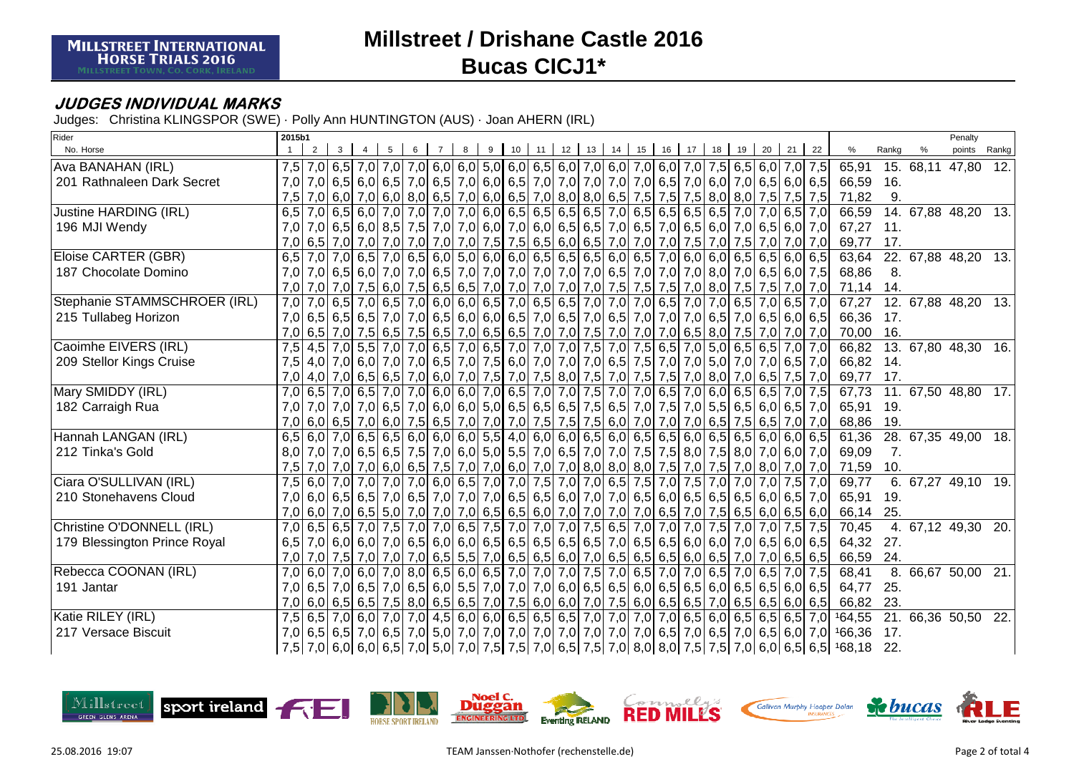### **JUDGES INDIVIDUAL MARKS**

Judges: Christina KLINGSPOR (SWE) · Polly Ann HUNTINGTON (AUS) · Joan AHERN (IRL)

| Rider                        | 2015b1           |                |                                                                                     |   |   |   |                |  |           |  |         |  |                                            |  |  |                                                                                                                                 |                            |       |                 | Penalty             |        |
|------------------------------|------------------|----------------|-------------------------------------------------------------------------------------|---|---|---|----------------|--|-----------|--|---------|--|--------------------------------------------|--|--|---------------------------------------------------------------------------------------------------------------------------------|----------------------------|-------|-----------------|---------------------|--------|
| No. Horse                    |                  | 2 <sup>1</sup> | 3 <sup>1</sup>                                                                      | 4 | 5 | 6 | $\overline{7}$ |  | 8 9 10 11 |  | $12$ 13 |  | 14   15   16   17   18   19   20   21   22 |  |  |                                                                                                                                 | %                          | Rankg | %               | points Rankg        |        |
| Ava BANAHAN (IRL)            | 7.5              |                |                                                                                     |   |   |   |                |  |           |  |         |  |                                            |  |  | 7,0 6,5 7,0 7,0 7,0 6,0 6,0 6,0 6,0 6,0 6,0 6,0 7,0 6,0 7,0 6,0 7,0 7,5 6,5 6,0 7,0 7,5                                         | 65,91                      |       | 15. 68,11 47,80 |                     | $-12.$ |
| 201 Rathnaleen Dark Secret   | 7,0              |                |                                                                                     |   |   |   |                |  |           |  |         |  |                                            |  |  | 7,0 6,5 6,0 6,5 7,0 6,5 7,0 6,5 7,0 6,0 6,5 7,0 7,0 7,0 7,0 7,0 6,5 7,0 6,0 7,0 6,5 6,0 6,5 6,0 6,5                             | 66,59                      | 16.   |                 |                     |        |
|                              | 7,5              |                |                                                                                     |   |   |   |                |  |           |  |         |  |                                            |  |  | 7,0 6,0 7,0 6,0 8,0 6,5 7,0 6,0 6,5 7,0 8,0 8,0 6,5 7,5 7,5 7,5 8,0 8,0 7,5 7,5 7,5 7,5 7,5                                     | 71,82                      | 9.    |                 |                     |        |
| Justine HARDING (IRL)        | 6,5              |                |                                                                                     |   |   |   |                |  |           |  |         |  |                                            |  |  | 7,0 6,5 6,0 7,0 7,0 7,0 7,0 7,0 6,0 6,5 6,5 6,5 6,5 7,0 6,5 6,5 6,5 6,5 7,0 7,0 6,5 7,0                                         | 66,59                      |       | 14. 67,88 48,20 |                     | 13.    |
| 196 MJI Wendy                | 7.0              |                |                                                                                     |   |   |   |                |  |           |  |         |  |                                            |  |  | 7,0 6,5 6,0 7,0 6,5 6,0 7,0 7,0 6,0 7,0 6,0 7,0 6,0 6,5 6,5 7,0 6,5 7,0 6,5 6,0 7,0 6,5 6,0 7,0                                 | 67,27                      | 11.   |                 |                     |        |
|                              | 7.0              |                |                                                                                     |   |   |   |                |  |           |  |         |  |                                            |  |  | 6,5 7,0 7,0 7,0 7,0 7,0 7,0 7,0 7,0 7,5 7,5 6,5 6,0 6,5 7,0 7,0 7,0 7,5 7,0 7,5 7,0 7,0 7,0 7,0                                 | 69,77                      | 17.   |                 |                     |        |
| <b>Eloise CARTER (GBR)</b>   | 6,5              |                |                                                                                     |   |   |   |                |  |           |  |         |  |                                            |  |  | 7,0 7,0 6,5 7,0 6,5 6,0 6,0 5,0 6,0 6,0 6,5 6,5 6,5 6,0 6,5 7,0 6,0 6,0 6,5 6,5 6,0 6,5 6,0 6,5                                 | 63,64                      |       | 22. 67,88 48,20 |                     | $-13.$ |
| 187 Chocolate Domino         | 7,0              |                |                                                                                     |   |   |   |                |  |           |  |         |  |                                            |  |  | 7,0 6,5 6,0 7,0 6,5 6,0 7,0 6,5 7,0 7,0 7,0 7,0 7,0 7,0 6,5 7,0 7,0 7,0 8,0 7,0 6,5 6,0 7,5                                     | 68,86                      | 8.    |                 |                     |        |
|                              | 7,0              | 7,0            |                                                                                     |   |   |   |                |  |           |  |         |  |                                            |  |  | 7,0 7,5 6,0 7,5 6,6 6,5 6,5 7,0 7,0 7,0 7,0 7,0 7,0 7,5 7,5 7,5 7,6 8,0 7,5 7,5 7,6 7,0 7,0 7,0                                 | 71,14                      | 14.   |                 |                     |        |
| Stephanie STAMMSCHROER (IRL) | 7.0              |                |                                                                                     |   |   |   |                |  |           |  |         |  |                                            |  |  | 7,0 6,5 7,0 6,5 7,0 6,5 7,0 6,0 6,0 6,5 7,0 6,5 6,5 7,0 7,0 7,0 6,5 7,0 7,0 6,5 7,0 6,5 7,0 6,5 7,0                             | 67,27                      |       |                 | 12. 67,88 48,20     | 13.    |
| 215 Tullabeg Horizon         |                  |                |                                                                                     |   |   |   |                |  |           |  |         |  |                                            |  |  | 7,0 6,5 6,5 6,6 6,6 7,0 7,0 6,5 6,0 6,0 6,0 6,5 7,0 6,5 7,0 6,5 7,0 7,0 7,0 6,5 7,0 6,5 7,0 6,5 6,0 6,5                         | 66,36                      | 17.   |                 |                     |        |
|                              |                  |                |                                                                                     |   |   |   |                |  |           |  |         |  |                                            |  |  | 7,0 6,5 7,0 7,5 6,5 7,0 6,5 7,0 6,5 7,0 6,5 6,5 7,0 7,0 7,5 7,0 7,0 7,0 6,5 8,0 7,5 7,0 7,0 7,0 7,0                             | 70,00                      | 16.   |                 |                     |        |
| Caoimhe EIVERS (IRL)         | 7,5              |                |                                                                                     |   |   |   |                |  |           |  |         |  |                                            |  |  | 4,5 7,0 5,5 7,0 7,0 6,5 7,0 6,5 7,0 6,5 7,0 7,0 7,0 7,5 7,0 7,5 6,5 7,0 5,0 6,5 6,5 7,0 7,0                                     | 66,82                      |       | 13. 67,80 48,30 |                     | 16.    |
| 209 Stellor Kings Cruise     | 7,5              |                |                                                                                     |   |   |   |                |  |           |  |         |  |                                            |  |  | 4,0 7,0 6,0 7,0 6,5 7,0 6,5 7,0 7,5 6,0 7,0 7,0 7,0 6,5 7,5 7,0 7,0 5,0 7,0 7,0 6,5 7,0                                         | 66,82                      | 14.   |                 |                     |        |
|                              | 7,0              |                |                                                                                     |   |   |   |                |  |           |  |         |  |                                            |  |  | 4,0 7,0 6,5 7,0 6,5 7,0 6,0 7,0 7,5 7,0 7,5 8,0 7,5 7,0 7,5 7,0 7,5 7,0 8,0 7,0 6,5 7,5 7,0                                     | 69,77                      | 17.   |                 |                     |        |
| Mary SMIDDY (IRL)            | 7,0              |                | 6,5 7,0 6,5 7,0 7,0 6,0 6,0 7,0 6,5 7,0 7,0 7,5 7,0 7,0 6,5 7,0 6,0 6,5 6,5 7,0 7,5 |   |   |   |                |  |           |  |         |  |                                            |  |  |                                                                                                                                 | 67,73                      |       | 11. 67,50 48,80 |                     | 17.    |
| 182 Carraigh Rua             | 7.01             |                |                                                                                     |   |   |   |                |  |           |  |         |  |                                            |  |  | 7,0 7,0 7,0 6,5 7,0 6,5 7,0 6,0 6,0 5,0 6,5 6,5 6,5 7,5 6,5 7,0 7,5 7,0 5,5 6,5 6,5 6,0 6,5 7,0                                 | 65,91                      | 19.   |                 |                     |        |
|                              |                  |                |                                                                                     |   |   |   |                |  |           |  |         |  |                                            |  |  | 7,0 6,5 7,5 6,5 7,0 6,0 7,6 6,5 7,0 7,0 7,0 7,0 7,5 7,5 6,0 7,0 7,0 7,0 7,0 6,5 7,5 6,5 7,0 7,0                                 | 68,86                      | 19.   |                 |                     |        |
| Hannah LANGAN (IRL)          | 6,5              |                |                                                                                     |   |   |   |                |  |           |  |         |  |                                            |  |  | $6,0$ 7,0 6,5 6,5 6,0 6,0 6,0 6,0 5,5 4,0 6,0 6,0 6,5 6,0 6,5 6,5 6,0 6,5 6,5 6,5 6,0 6,0 6,0 6,0                               | 61,36                      |       |                 | 28. 67,35 49,00     | 18.    |
| 212 Tinka's Gold             | 8.0              |                |                                                                                     |   |   |   |                |  |           |  |         |  |                                            |  |  | 7,0 7,0 6,5 6,5 7,5 7,0 6,0 5,0 5,5 7,0 6,5 7,0 7,0 7,5 7,5 8,0 7,5 8,0 7,0 6,0 7,0 6                                           | 69,09                      | 7.    |                 |                     |        |
|                              | 7,5              |                |                                                                                     |   |   |   |                |  |           |  |         |  |                                            |  |  | 7,0 7,0 7,0 6,0 6,5 7,5 7,0 7,0 6,0 7,0 7,0 8,0 8,0 8,0 7,5 7,0 7,5 7,0 8,0 7,0 7,0 7,0                                         | 71,59                      | 10.   |                 |                     |        |
| Ciara O'SULLIVAN (IRL)       | 7,5              |                | 6,0 7,0 7,0 7,0 7,0 6,0 6,5 7,0 7,0 7,5 7,0 7,0 6,5 7,5 7,0 7,5                     |   |   |   |                |  |           |  |         |  |                                            |  |  | 7,0 7,0 7,0 7,5 7,0                                                                                                             | 69,77                      | 6.    |                 | 67,27 49,10 19.     |        |
| 210 Stonehavens Cloud        | 7.01             |                |                                                                                     |   |   |   |                |  |           |  |         |  |                                            |  |  | 6,0 6,5 6,5 6,6 6,6 7,0 6,5 7,0 7,0 7,0 6,5 6,5 6,0 7,0 7,0 6,5 6,0 6,5 6,5 6,5 6,5 6,0 6,5 7,0                                 | 65,91                      | 19.   |                 |                     |        |
|                              | 7.0              |                |                                                                                     |   |   |   |                |  |           |  |         |  |                                            |  |  | $(6,0)$ 7,0 $(6,5)$ 5,0 $(7,0)$ 7,0 $(7,0)$ 6,5 $(6,5)$ 6,0 $(7,0)$ 7,0 $(7,0)$ 7,0 $(6,5)$ 7,0 $(7,5)$ 6,5 $(6,0)$ 6,5 $(6,0)$ | 66,14                      | 25.   |                 |                     |        |
| Christine O'DONNELL (IRL)    | 7.0              |                |                                                                                     |   |   |   |                |  |           |  |         |  |                                            |  |  | 6,5  6,5  7,0  7,5  7,0  7,0  6,5  7,5  7,0  7,0  7,0  7,5  6,5  7,0  7,0  7,0  7,5  7,0  7,0  7,5  7,5                         | 70,45                      |       |                 | 4. 67,12 49,30      | 20.    |
| 179 Blessington Prince Royal | 6,5              |                |                                                                                     |   |   |   |                |  |           |  |         |  |                                            |  |  | 7,0 6,0 7,0 6,5 6,0 7,0 6,5 6,0 6,6 6,6 6,5 6,5 6,5 6,5 6,5 6,5 6,5 6,6 6,0 6,0 7,0 6,5 6,0 6,5                                 | 64,32                      | 27.   |                 |                     |        |
|                              | 7,0              | 7,0            |                                                                                     |   |   |   |                |  |           |  |         |  |                                            |  |  | 7,5 7,0 7,0 7,0 6,5 6,5 7,0 6,5 7,0 6,5 6,5 6,0 7,0 6,5 6,5 6,5 6,6 6,0 6,5 7,0 7,0 6,5 6,5                                     | 66,59                      | 24.   |                 |                     |        |
| Rebecca COONAN (IRL)         | 7.0              | 6.0            |                                                                                     |   |   |   |                |  |           |  |         |  |                                            |  |  | 7,0 6,0 7,0 8,0 6,5 6,0 6,5 7,0 7,0 7,0 7,0 7,5 7,0 6,5 7,0 7,0 6,5 7,0 6,5 7,0 6,5 7,0 7,5                                     | 68,41                      |       |                 | 8. 66,67 50,00 21.  |        |
| 191 Jantar                   | 7.0 <sub>l</sub> |                |                                                                                     |   |   |   |                |  |           |  |         |  |                                            |  |  | 6,5 7,0 6,5 7,0 6,5 6,0 5,5 7,0 7,0 7,0 7,0 6,0 6,5 6,5 6,0 6,5 6,5 6,0 6,5 6,5 6,5 6,5 6,6 6,6 6,5                             | 64,77                      | 25.   |                 |                     |        |
|                              | 7.0              |                |                                                                                     |   |   |   |                |  |           |  |         |  |                                            |  |  | 6,0 6,5 6,5 6,5 7,5 8,0 6,5 6,5 7,0 7,5 6,0 6,0 7,0 7,5 6,0 6,5 6,5 7,0 6,5 6,5 6,5 6,6 6,0 6,5                                 | 66,82                      | 23.   |                 |                     |        |
| Katie RILEY (IRL)            |                  |                |                                                                                     |   |   |   |                |  |           |  |         |  |                                            |  |  | 7,5 6,5 7,0 6,0 7,0 7,0 4,5 6,0 6,0 6,0 6,5 6,5 6,5 7,0 7,0 7,0 7,0 6,5 6,0 6,5 6,5 6,5 6,5 7,0                                 | 164,55                     |       |                 | 21. 66,36 50,50 22. |        |
| 217 Versace Biscuit          |                  |                |                                                                                     |   |   |   |                |  |           |  |         |  |                                            |  |  |                                                                                                                                 | 166,36                     | 17.   |                 |                     |        |
|                              |                  |                |                                                                                     |   |   |   |                |  |           |  |         |  |                                            |  |  |                                                                                                                                 | 7,5 7,0 6,0 6,5 6,5 168,18 | 22.   |                 |                     |        |

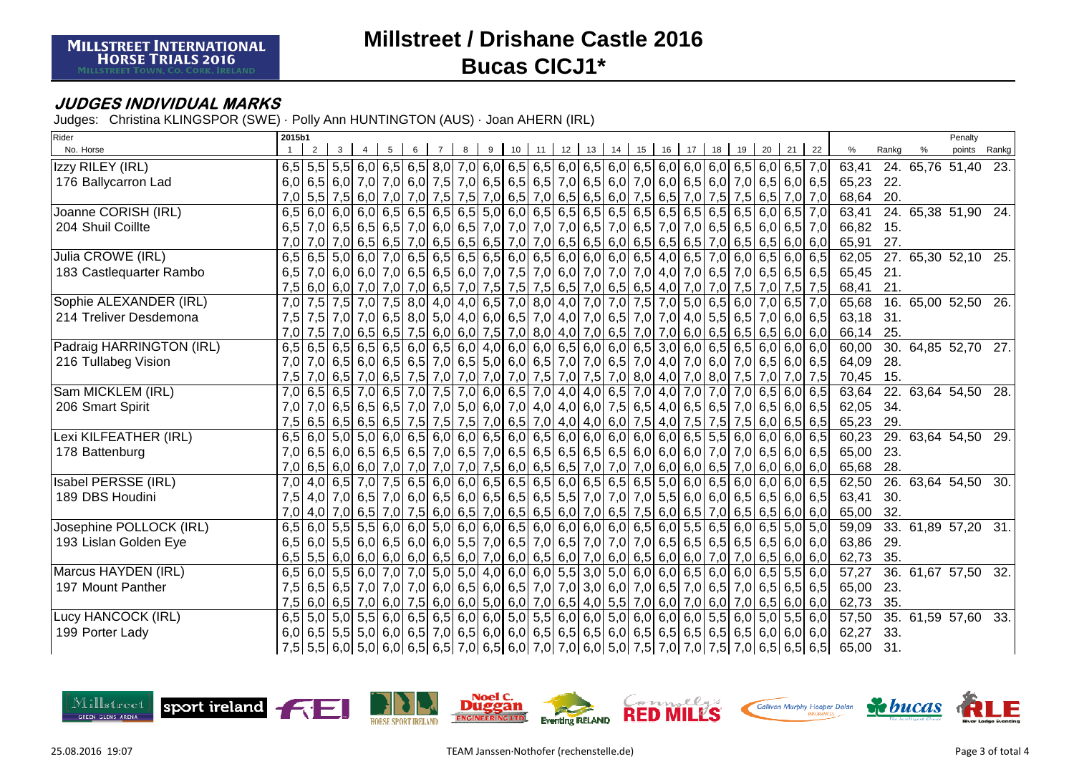### **JUDGES INDIVIDUAL MARKS**

Judges: Christina KLINGSPOR (SWE) · Polly Ann HUNTINGTON (AUS) · Joan AHERN (IRL)

| Rider                    | 2015b1           |             |                                                                                       |                |     |   |   |  |  |                  |  |     |                         |    |       |                                                                                                             |           |       | Penalty             |                   |
|--------------------------|------------------|-------------|---------------------------------------------------------------------------------------|----------------|-----|---|---|--|--|------------------|--|-----|-------------------------|----|-------|-------------------------------------------------------------------------------------------------------------|-----------|-------|---------------------|-------------------|
| No. Horse                |                  | $2^{\circ}$ | $3-1$                                                                                 | $\overline{4}$ | - 5 | 6 | 8 |  |  | 9 10 11 12 13 14 |  |     | 15 16 17 18 19          | 20 | 21 22 |                                                                                                             | %         | Rankg | points              | Rankg             |
| Izzy RILEY (IRL)         |                  |             |                                                                                       |                |     |   |   |  |  |                  |  |     |                         |    |       | 6,5 5,5 5,5 6,0 6,5 6,5 6,5 8,0 7,0 6,0 6,5 6,5 6,0 6,5 6,0 6,5 6,0 6,0 6,0 6,0 6,5 6,0 6,5 7,0             | 63,41     |       | 24. 65,76 51,40     | $\overline{23}$ . |
| 176 Ballycarron Lad      |                  |             |                                                                                       |                |     |   |   |  |  |                  |  |     |                         |    |       | 6,0 6,5 6,0 7,0 7,0 6,0 7,5 7,0 6,5 6,5 6,5 7,0 6,5 6,6 7,0 6,6 6,0 7,0 6,5 6,0 7,0 6,5 6,0 7,0 6,5 6,0 6,5 | 65,23 22. |       |                     |                   |
|                          | 7,0              |             |                                                                                       |                |     |   |   |  |  |                  |  |     |                         |    |       | 5,5 7,5 6,0 7,0 7,0 7,5 7,5 7,5 7,0 6,5 7,0 6,5 7,0 6,5 6,6 7,5 6,5 7,0 7,5 7,5 6,5 7,0 7,0 7,0             | 68,64     | 20.   |                     |                   |
| Joanne CORISH (IRL)      |                  |             |                                                                                       |                |     |   |   |  |  |                  |  |     |                         |    |       |                                                                                                             | 63,41     |       | 24. 65,38 51,90 24. |                   |
| 204 Shuil Coillte        | 6.5              |             |                                                                                       |                |     |   |   |  |  |                  |  |     |                         |    |       | 7,0 6,5 6,5 6,6 6,6 7,0 6,6 7,0 6,5 7,0 7,0 7,0 7,0 6,5 7,0 6,5 7,0 7,0 6,5 6,5 6,5 6,0 6,5 7,0             | 66,82     | - 15. |                     |                   |
|                          | 7.0              |             |                                                                                       |                |     |   |   |  |  |                  |  |     |                         |    |       | 7,0 7,0 6,5 6,5 7,0 6,5 7,0 6,5 6,5 6,5 7,0 7,0 6,5 6,5 6,0 6,5 6,5 6,5 7,0 6,5 6,5 6,0 6,0 6,0             | 65,91     | 27.   |                     |                   |
| Julia CROWE (IRL)        | 6,5              |             |                                                                                       |                |     |   |   |  |  |                  |  |     |                         |    |       | $6,5$ 5,0 6,0 7,0 6,5 6,5 6,5 6,5 6,0 6,5 6,0 6,0 6,0 6,0 6,5 4,0 6,5 7,0 6,0 6,5 6,0 6,5                   | 62,05     |       | 27. 65,30 52,10 25. |                   |
| 183 Castlequarter Rambo  | 6,5              |             |                                                                                       |                |     |   |   |  |  |                  |  |     |                         |    |       | 7,0 6,0 7,0 6,5 6,5 6,5 6,5 6,0 7,0 7,5 7,0 6,0 7,0 7,0 7,0 7,0 4,0 7,0 6,5 7,0 6,5 6,5 6,5 6,5             | 65,45     | 21.   |                     |                   |
|                          | 7,5              |             | 6,0 6,0 7,0 7,0 7,0 6,5 7,0 7,5 7,5 7,5 6,5 7,0 6,5 6,5 4,0                           |                |     |   |   |  |  |                  |  | 7,0 | 7,0 7,5 7,0             |    |       | $7,5$ 7,5                                                                                                   | 68,41     | 21.   |                     |                   |
| Sophie ALEXANDER (IRL)   | 7,0              |             |                                                                                       |                |     |   |   |  |  |                  |  |     |                         |    |       | 7,5 7,0 7,5 7,0 7,5 8,0 4,0 4,0 6,5 7,0 8,0 4,0 7,0 7,0 7,5 7,0 5,0 6,5 6,0 7,0 6,5 7,0                     | 65,68     |       | 16. 65,00 52,50     | 26.               |
| 214 Treliver Desdemona   | 7.5              |             |                                                                                       |                |     |   |   |  |  |                  |  |     |                         |    |       | 7,5 7,0 7,0 6,5 8,0 5,0 4,0 6,0 6,5 7,0 4,0 7,0 6,5 7,0 7,0 4,0 5,5 6,5 7,0 6,0 6,0 6,1                     | 63,18 31. |       |                     |                   |
|                          | 7.0              |             |                                                                                       |                |     |   |   |  |  |                  |  |     |                         |    |       | 7,5 7,0 6,5 6,5 6,5 7,5 6,0 6,0 7,5 7,0 8,0 4,0 7,0 6,5 7,0 7,0 6,0 6,5 6,5 6,5 6,6 6,0 6,0                 | 66,14     | 25.   |                     |                   |
| Padraig HARRINGTON (IRL) | 6,5              |             |                                                                                       |                |     |   |   |  |  |                  |  |     |                         |    |       | $6,5$ 6,5 6,5 6,5 6,6 6,0 6,5 6,0 4,0 6,0 6,0 6,0 6,5 6,0 6,0 6,5 3,0 6,0 6,5 6,5 6,5 6,0 6,0 6,0           | 60,00     |       | 30. 64,85 52,70 27. |                   |
| 216 Tullabeg Vision      | 7,0              |             |                                                                                       |                |     |   |   |  |  |                  |  |     |                         |    |       | 7,0 6,5 6,0 6,5 6,0 6,5 7,0 6,5 5,0 6,0 6,0 6,5 7,0 7,0 6,5 7,0 4,0 7,0 6,0 7,0 6,5 6,0 6,5 6,0 7,0         | 64,09     | 28.   |                     |                   |
|                          | 7,5              |             |                                                                                       |                |     |   |   |  |  |                  |  |     |                         |    |       | 7,0 6,5 7,0 6,5 7,0 6,5 7,5 7,0 7,0 7,0 7,0 7,5 7,0 7,5 7,0 8,0 4,0 7,0 8,0 7,5 7,0 7,0 7,5 7,0 7,5         | 70,45 15. |       |                     |                   |
| Sam MICKLEM (IRL)        | 7,0              |             | $6,5$ 6,5 7,0 6,5 7,0 7,5 7,0 6,0 6,5 7,0 4,0 4,0 6,5 7,0 4,0                         |                |     |   |   |  |  |                  |  |     | 7,0 7,0 7,0 6,5 6,0 6,5 |    |       |                                                                                                             | 63,64     |       | 22. 63,64 54,50     | 28.               |
| 206 Smart Spirit         | 7,0              |             |                                                                                       |                |     |   |   |  |  |                  |  |     |                         |    |       | 7,0 6,5 6,5 6,5 6,6 7,0 7,0 5,0 6,0 7,0 4,0 4,0 6,0 7,5 6,5 4,0 6,5 6,5 7,0 6,5 6,0 6,0 6,5                 | 62,05     | 34.   |                     |                   |
|                          | 7.5              |             |                                                                                       |                |     |   |   |  |  |                  |  |     |                         |    |       | 6,5 6,5 6,6 6,5 6,5 7,5 7,5 7,6 7,0 6,5 7,0 4,0 6,0 7,5 4,0 7,5 7,5 7,5 7,5 6,0 6,5 6,5 6,5                 | 65,23     | 29.   |                     |                   |
| Lexi KILFEATHER (IRL)    | 6,5              |             |                                                                                       |                |     |   |   |  |  |                  |  |     |                         |    |       | $(6,0)$ 5,0 5,0 6,0 6,5 6,0 6,0 6,0 6,5 6,0 6,5 6,0 6,0 6,0 6,0 6,0 6,0 6,5 5,5 6,0 6,0 6,0 6,0 6,5         | 60,23     |       | 29. 63,64 54,50 29. |                   |
| 178 Battenburg           | 7,0              |             |                                                                                       |                |     |   |   |  |  |                  |  |     |                         |    |       | 6,5 6,0 6,5 6,5 6,5 7,0 6,5 7,0 6,5 6,5 6,5 6,5 6,5 6,5 6,0 6,0 6,0 7,0 7,0 6,5 6,0 6,5                     | 65,00     | 23.   |                     |                   |
|                          | 7,0              |             |                                                                                       |                |     |   |   |  |  |                  |  |     |                         |    |       | $6,5$ 6,0 6,0 7,0 7,0 7,0 7,0 7,0 7,5 6,0 6,5 6,5 7,0 7,0 7,0 6,0 6,0 6,5 7,0 6,0 6,0 6,0 6,0               | 65,68     | 28.   |                     |                   |
| Isabel PERSSE (IRL)      | $\overline{7,0}$ |             | $4,0$ 6,5 7,0 7,5 6,5 6,0 6,0 6,5 6,5 6,5 6,5 6,0 6,5 6,5 6,5 5,0 6,0 6,5 6,0 6,0 6,0 |                |     |   |   |  |  |                  |  |     |                         |    |       | 6,06,5                                                                                                      | 62,50     |       | 26. 63,64 54,50 30. |                   |
| 189 DBS Houdini          | 7,5              |             |                                                                                       |                |     |   |   |  |  |                  |  |     |                         |    |       | 4,0 7,0 6,5 7,0 6,5 7,0 6,0 6,5 6,0 6,5 6,6 6,5 6,5 6,5 7,0 7,0 7,0 5,5 6,0 6,0 6,5 6,5 6,0 6,5 6,0 6,5     | 63,41     | 30.   |                     |                   |
|                          | 7,0              |             |                                                                                       |                |     |   |   |  |  |                  |  |     |                         |    |       | 4,0 7,0 6,5 7,0 6,5 7,0 7,6 6,0 6,6 7,0 6,5 6,5 6,0 7,0 6,5 7,5 6,0 6,5 7,0 6,5 6,5 6,0 6,0 6,0             | 65,00     | 32.   |                     |                   |
| Josephine POLLOCK (IRL)  | 6,5              |             |                                                                                       |                |     |   |   |  |  |                  |  |     |                         |    |       | $6,0$ 5,5 5,5 6,0 6,0 5,0 6,0 6,0 6,0 6,5 6,0 6,0 6,0 6,0 6,5 6,0 5,5 6,5 6,0 6,5 5,0 5,0 5,0               | 59,09     |       | 33. 61,89 57,20 31. |                   |
| 193 Lislan Golden Eye    | 6,5              |             |                                                                                       |                |     |   |   |  |  |                  |  |     |                         |    |       | 6,0 6,5 6,6 6,6 6,0 6,6 6,0 6,0 5,5 7,0 6,5 7,0 6,5 7,0 7,0 7,0 6,5 6,5 6,5 6,5 6,5 6,5 6,5 6,0 6,0         | 63,86     | 29.   |                     |                   |
|                          | 6,5              |             |                                                                                       |                |     |   |   |  |  |                  |  |     |                         |    |       | 5,5 6,0 6,0 6,0 6,0 6,0 6,5 6,0 7,0 6,0 6,5 6,0 7,0 6,0 6,5 6,0 6,5 6,0 7,0 7,0 7,0 6,5 6,0 6,0             | 62,73     | 35.   |                     |                   |
| Marcus HAYDEN (IRL)      | 6,5              |             |                                                                                       |                |     |   |   |  |  |                  |  |     |                         |    |       | 6,0 5,5 6,0 7,0 7,0 5,0 5,0 4,0 6,0 6,0 5,5 3,0 5,0 6,0 6,0 6,0 6,5 6,0 6,0 6,5 5,5 6,0                     | 57,27     |       | 36. 61,67 57,50     | 32.               |
| 197 Mount Panther        | 7,5              |             |                                                                                       |                |     |   |   |  |  |                  |  |     |                         |    |       | 6,5 6,5 7,0 7,0 7,0 7,0 6,5 6,6 6,0 6,5 7,0 7,0 3,0 6,0 7,0 6,5 7,0 6,5 7,0 6,5 7,0 6,5 6,5 6,5             | 65,00     | 23.   |                     |                   |
|                          | 7,5              |             |                                                                                       |                |     |   |   |  |  |                  |  |     |                         |    |       | $6,0$ 6,5 7,0 6,0 7,5 6,0 6,0 5,0 6,0 7,0 6,5 4,0 5,5 7,0 6,0 7,0 6,0 7,0 6,5 6,0 6,0 6,0                   | 62,73     | 35.   |                     |                   |
| Lucy HANCOCK (IRL)       |                  |             |                                                                                       |                |     |   |   |  |  |                  |  |     |                         |    |       | $6,5$ 5,0 5,0 5,5 6,0 6,5 6,5 6,5 6,0 6,0 5,0 5,5 6,0 6,0 5,0 6,0 6,0 6,0 6,0 5,5 6,0 5,0 5,0 5,5 6,0       | 57,50     |       | 35. 61,59 57,60 33. |                   |
| 199 Porter Lady          |                  |             |                                                                                       |                |     |   |   |  |  |                  |  |     |                         |    |       | 6,0 6,5 5,5 5,0 6,0 6,5 7,0 6,5 6,0 6,0 6,5 6,5 6,5 6,6 6,0 6,5 6,5 6,5 6,5 6,5 6,5 6,5 6,5 6,0 6,0 6,0 6,0 | 62,27     | 33.   |                     |                   |
|                          | 7,5              |             |                                                                                       |                |     |   |   |  |  |                  |  |     |                         |    |       | 5,5 6,5 6,5 6,5 6,5 6,5 6,5 7,0 6,5 6,0 7,0 7,0 6,0 5,0 7,5 7,0 7,0 7,5 7,0 6,5 6,5 6,5 6,5                 | 65,00     | 31.   |                     |                   |